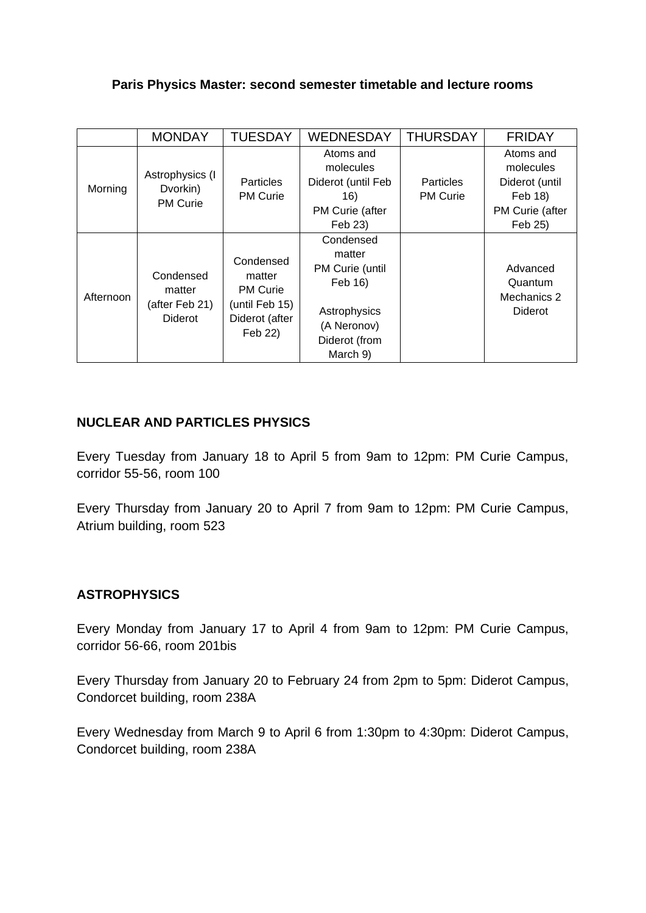## **Paris Physics Master: second semester timetable and lecture rooms**

|           | <b>MONDAY</b>                                    | <b>TUESDAY</b>                                                                        | <b>WEDNESDAY</b>                                                                                              | <b>THURSDAY</b>                     | <b>FRIDAY</b>                                                                     |
|-----------|--------------------------------------------------|---------------------------------------------------------------------------------------|---------------------------------------------------------------------------------------------------------------|-------------------------------------|-----------------------------------------------------------------------------------|
| Morning   | Astrophysics (I<br>Dvorkin)<br><b>PM Curie</b>   | <b>Particles</b><br><b>PM Curie</b>                                                   | Atoms and<br>molecules<br>Diderot (until Feb<br>16)<br>PM Curie (after<br>Feb 23)                             | <b>Particles</b><br><b>PM Curie</b> | Atoms and<br>molecules<br>Diderot (until<br>Feb 18)<br>PM Curie (after<br>Feb 25) |
| Afternoon | Condensed<br>matter<br>(after Feb 21)<br>Diderot | Condensed<br>matter<br><b>PM Curie</b><br>(until Feb 15)<br>Diderot (after<br>Feb 22) | Condensed<br>matter<br>PM Curie (until<br>Feb 16)<br>Astrophysics<br>(A Neronov)<br>Diderot (from<br>March 9) |                                     | Advanced<br>Quantum<br>Mechanics 2<br><b>Diderot</b>                              |

## **NUCLEAR AND PARTICLES PHYSICS**

Every Tuesday from January 18 to April 5 from 9am to 12pm: PM Curie Campus, corridor 55-56, room 100

Every Thursday from January 20 to April 7 from 9am to 12pm: PM Curie Campus, Atrium building, room 523

## **ASTROPHYSICS**

Every Monday from January 17 to April 4 from 9am to 12pm: PM Curie Campus, corridor 56-66, room 201bis

Every Thursday from January 20 to February 24 from 2pm to 5pm: Diderot Campus, Condorcet building, room 238A

Every Wednesday from March 9 to April 6 from 1:30pm to 4:30pm: Diderot Campus, Condorcet building, room 238A